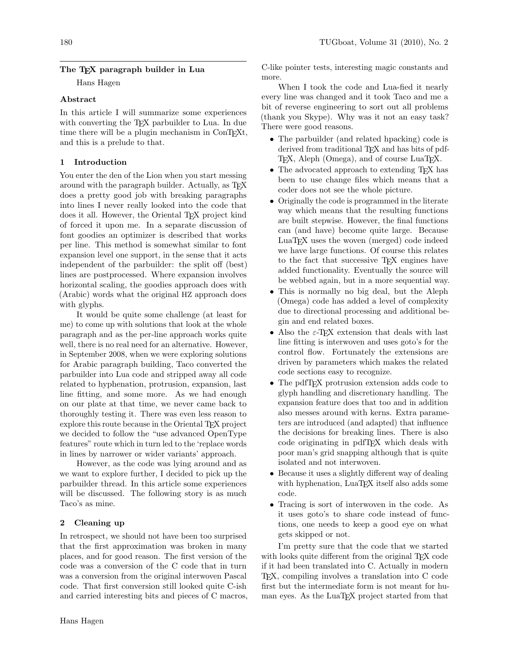# The T<sub>EX</sub> paragraph builder in Lua

Hans Hagen

## Abstract

In this article I will summarize some experiences with converting the T<sub>EX</sub> parbuilder to Lua. In due time there will be a plugin mechanism in ConTEXt, and this is a prelude to that.

## 1 Introduction

You enter the den of the Lion when you start messing around with the paragraph builder. Actually, as TEX does a pretty good job with breaking paragraphs into lines I never really looked into the code that does it all. However, the Oriental T<sub>E</sub>X project kind of forced it upon me. In a separate discussion of font goodies an optimizer is described that works per line. This method is somewhat similar to font expansion level one support, in the sense that it acts independent of the parbuilder: the split off (best) lines are postprocessed. Where expansion involves horizontal scaling, the goodies approach does with (Arabic) words what the original HZ approach does with glyphs.

It would be quite some challenge (at least for me) to come up with solutions that look at the whole paragraph and as the per-line approach works quite well, there is no real need for an alternative. However, in September 2008, when we were exploring solutions for Arabic paragraph building, Taco converted the parbuilder into Lua code and stripped away all code related to hyphenation, protrusion, expansion, last line fitting, and some more. As we had enough on our plate at that time, we never came back to thoroughly testing it. There was even less reason to explore this route because in the Oriental TFX project we decided to follow the "use advanced OpenType features" route which in turn led to the 'replace words in lines by narrower or wider variants' approach.

However, as the code was lying around and as we want to explore further, I decided to pick up the parbuilder thread. In this article some experiences will be discussed. The following story is as much Taco's as mine.

# 2 Cleaning up

In retrospect, we should not have been too surprised that the first approximation was broken in many places, and for good reason. The first version of the code was a conversion of the C code that in turn was a conversion from the original interwoven Pascal code. That first conversion still looked quite C-ish and carried interesting bits and pieces of C macros, C-like pointer tests, interesting magic constants and more.

When I took the code and Lua-fied it nearly every line was changed and it took Taco and me a bit of reverse engineering to sort out all problems (thank you Skype). Why was it not an easy task? There were good reasons.

- The parbuilder (and related hpacking) code is derived from traditional T<sub>EX</sub> and has bits of pdf-TEX, Aleph (Omega), and of course LuaTEX.
- The advocated approach to extending T<sub>F</sub>X has been to use change files which means that a coder does not see the whole picture.
- Originally the code is programmed in the literate way which means that the resulting functions are built stepwise. However, the final functions can (and have) become quite large. Because LuaTEX uses the woven (merged) code indeed we have large functions. Of course this relates to the fact that successive TEX engines have added functionality. Eventually the source will be webbed again, but in a more sequential way.
- This is normally no big deal, but the Aleph (Omega) code has added a level of complexity due to directional processing and additional begin and end related boxes.
- Also the  $\varepsilon$ -T<sub>EX</sub> extension that deals with last line fitting is interwoven and uses goto's for the control flow. Fortunately the extensions are driven by parameters which makes the related code sections easy to recognize.
- The pdfT<sub>E</sub>X protrusion extension adds code to glyph handling and discretionary handling. The expansion feature does that too and in addition also messes around with kerns. Extra parameters are introduced (and adapted) that influence the decisions for breaking lines. There is also code originating in pdfTEX which deals with poor man's grid snapping although that is quite isolated and not interwoven.
- Because it uses a slightly different way of dealing with hyphenation, LuaT<sub>EX</sub> itself also adds some code.
- Tracing is sort of interwoven in the code. As it uses goto's to share code instead of functions, one needs to keep a good eye on what gets skipped or not.

I'm pretty sure that the code that we started with looks quite different from the original T<sub>E</sub>X code if it had been translated into C. Actually in modern TEX, compiling involves a translation into C code first but the intermediate form is not meant for human eyes. As the LuaTFX project started from that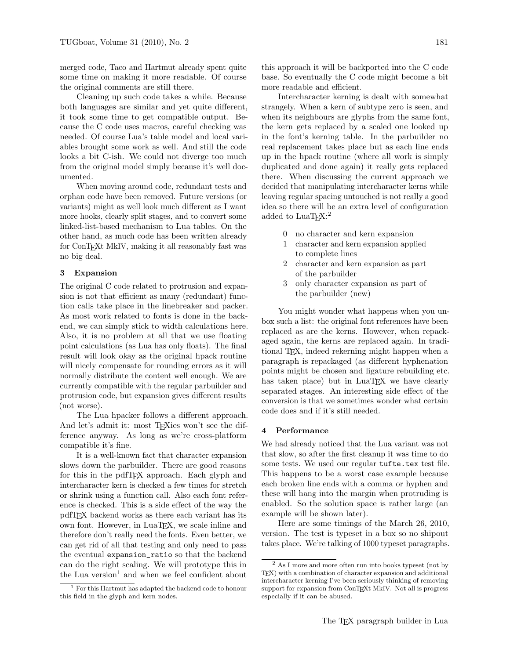merged code, Taco and Hartmut already spent quite some time on making it more readable. Of course the original comments are still there.

Cleaning up such code takes a while. Because both languages are similar and yet quite different, it took some time to get compatible output. Because the C code uses macros, careful checking was needed. Of course Lua's table model and local variables brought some work as well. And still the code looks a bit C-ish. We could not diverge too much from the original model simply because it's well documented.

When moving around code, redundant tests and orphan code have been removed. Future versions (or variants) might as well look much different as I want more hooks, clearly split stages, and to convert some linked-list-based mechanism to Lua tables. On the other hand, as much code has been written already for ConTEXt MkIV, making it all reasonably fast was no big deal.

### 3 Expansion

The original C code related to protrusion and expansion is not that efficient as many (redundant) function calls take place in the linebreaker and packer. As most work related to fonts is done in the backend, we can simply stick to width calculations here. Also, it is no problem at all that we use floating point calculations (as Lua has only floats). The final result will look okay as the original hpack routine will nicely compensate for rounding errors as it will normally distribute the content well enough. We are currently compatible with the regular parbuilder and protrusion code, but expansion gives different results (not worse).

The Lua hpacker follows a different approach. And let's admit it: most T<sub>E</sub>Xies won't see the difference anyway. As long as we're cross-platform compatible it's fine.

It is a well-known fact that character expansion slows down the parbuilder. There are good reasons for this in the pdfTEX approach. Each glyph and intercharacter kern is checked a few times for stretch or shrink using a function call. Also each font reference is checked. This is a side effect of the way the pdfTEX backend works as there each variant has its own font. However, in LuaT<sub>E</sub>X, we scale inline and therefore don't really need the fonts. Even better, we can get rid of all that testing and only need to pass the eventual expansion\_ratio so that the backend can do the right scaling. We will prototype this in the Lua version<sup>1</sup> and when we feel confident about

this approach it will be backported into the C code base. So eventually the C code might become a bit more readable and efficient.

Intercharacter kerning is dealt with somewhat strangely. When a kern of subtype zero is seen, and when its neighbours are glyphs from the same font, the kern gets replaced by a scaled one looked up in the font's kerning table. In the parbuilder no real replacement takes place but as each line ends up in the hpack routine (where all work is simply duplicated and done again) it really gets replaced there. When discussing the current approach we decided that manipulating intercharacter kerns while leaving regular spacing untouched is not really a good idea so there will be an extra level of configuration added to  $\text{LuaTrX:}^2$ 

- 0 no character and kern expansion
- 1 character and kern expansion applied to complete lines
- 2 character and kern expansion as part of the parbuilder
- 3 only character expansion as part of the parbuilder (new)

You might wonder what happens when you unbox such a list: the original font references have been replaced as are the kerns. However, when repackaged again, the kerns are replaced again. In traditional TEX, indeed rekerning might happen when a paragraph is repackaged (as different hyphenation points might be chosen and ligature rebuilding etc. has taken place) but in LuaT<sub>EX</sub> we have clearly separated stages. An interesting side effect of the conversion is that we sometimes wonder what certain code does and if it's still needed.

#### 4 Performance

We had already noticed that the Lua variant was not that slow, so after the first cleanup it was time to do some tests. We used our regular tufte.tex test file. This happens to be a worst case example because each broken line ends with a comma or hyphen and these will hang into the margin when protruding is enabled. So the solution space is rather large (an example will be shown later).

Here are some timings of the March 26, 2010, version. The test is typeset in a box so no shipout takes place. We're talking of 1000 typeset paragraphs.

<sup>1</sup> For this Hartmut has adapted the backend code to honour this field in the glyph and kern nodes.

<sup>2</sup> As I more and more often run into books typeset (not by TEX) with a combination of character expansion and additional intercharacter kerning I've been seriously thinking of removing support for expansion from ConTEXt MkIV. Not all is progress especially if it can be abused.